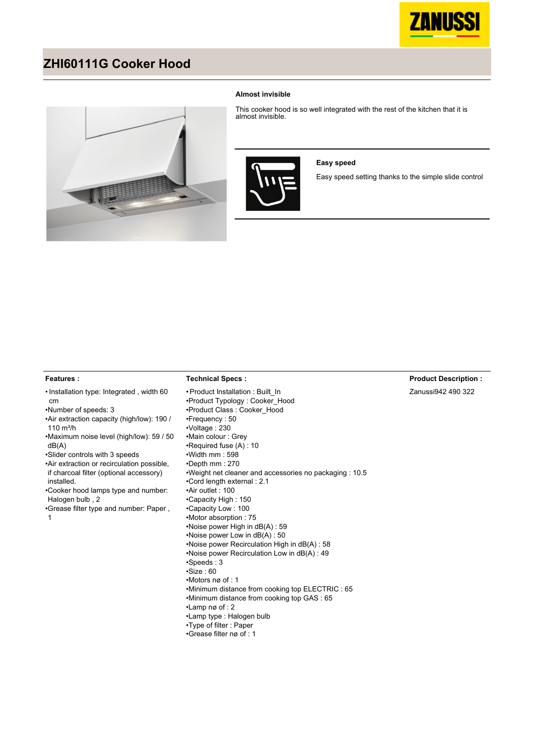

## **ZHI60111G Cooker Hood**



### **Almost invisible**

This cooker hood is so well integrated with the rest of the kitchen that it is almost invisible.



### **Easy speed**

Easy speed setting thanks to the simple slide control

## **Features :**

#### • Installation type: Integrated, width 60 cm

•Number of speeds: 3

- Air extraction capacity (high/low): 190 /  $110 \text{ m}^3/h$
- Maximum noise level (high/low): 59 / 50 dB(A)
- •Slider controls with 3 speeds
- Air extraction or recirculation possible, if charcoal filter (optional accessory)
- installed. Cooker hood lamps type and number: • Halogen bulb , 2
- Grease filter type and number: Paper , 1

• Product Installation : Built\_In •Product Typology : Cooker\_Hood •Product Class : Cooker\_Hood •Frequency : 50 •Voltage : 230 •Main colour : Grey •Required fuse (A) : 10 •Width mm : 598 •Depth mm : 270 •Weight net cleaner and accessories no packaging : 10.5 •Cord length external : 2.1 •Air outlet : 100 •Capacity High : 150 •Capacity Low : 100 •Motor absorption : 75 •Noise power High in dB(A) : 59 •Noise power Low in dB(A) : 50 •Noise power Recirculation High in dB(A) : 58 •Noise power Recirculation Low in dB(A) : 49 •Speeds : 3 •Size : 60 •Motors nø of : 1 •Minimum distance from cooking top ELECTRIC : 65 •Minimum distance from cooking top GAS : 65 •Lamp nø of : 2 •Lamp type : Halogen bulb •Type of filter : Paper

•Grease filter nø of : 1

**Technical Specs :**

## **Product Description :**

Zanussi942 490 322